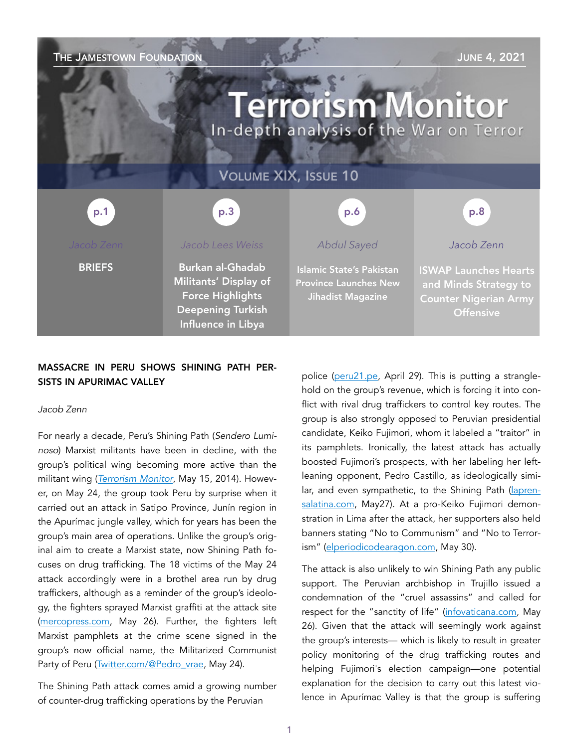# THE JAMESTOWN FOUNDATION **THE SERVICE SERVICE SERVICE SERVICE SERVICE SERVICE SERVICE SERVICE SERVICE SERVICE S Terrorism Monitor** In-depth analysis of the War on Terror VOLUME XIX, ISSUE 10 p.3 p.1 p.1 p.3 p.3 p.3 p.6 p.6 p.8 p.8 *Jacob Zenn Jacob Lees Weiss Abdul Sayed*  **BRIEFS** Burkan al-Ghadab ISWAP Launches Hearts Islamic State's Pakistan Militants' Display of Province Launches New and Minds Strategy to Force Highlights Jihadist Magazine Counter Nigerian Army Deepening Turkish **Offensive** Influence in Libya

# MASSACRE IN PERU SHOWS SHINING PATH PER-SISTS IN APURIMAC VALLEY

#### *Jacob Zenn*

For nearly a decade, Peru's Shining Path (*Sendero Luminoso*) Marxist militants have been in decline, with the group's political wing becoming more active than the militant wing (*[Terrorism Monitor](https://jamestown.org/program/perus-shining-path-in-decline-as-its-movadef-political-arm-broadens-appeal/)*, May 15, 2014). However, on May 24, the group took Peru by surprise when it carried out an attack in Satipo Province, Junín region in the Apurímac jungle valley, which for years has been the group's main area of operations. Unlike the group's original aim to create a Marxist state, now Shining Path focuses on drug trafficking. The 18 victims of the May 24 attack accordingly were in a brothel area run by drug traffickers, although as a reminder of the group's ideology, the fighters sprayed Marxist graffiti at the attack site ([mercopress.com,](https://en.mercopress.com/2021/05/26/alleged-shining-path-attack-leaves-18-dead-in-peru) May 26). Further, the fighters left Marxist pamphlets at the crime scene signed in the group's now official name, the Militarized Communist Party of Peru [\(Twitter.com/@Pedro\\_vrae](https://twitter.com/Pedro_vrae/status/1396863900205961218), May 24).

The Shining Path attack comes amid a growing number of counter-drug trafficking operations by the Peruvian

police ([peru21.pe,](https://peru21.pe/peru/junin-pnp-incauta-mas-de-100-kilos-de-alcaloide-de-cocaina-tras-intervenir-camioneta-en-la-carretera-central-nnnpp-noticia/) April 29). This is putting a stranglehold on the group's revenue, which is forcing it into conflict with rival drug traffickers to control key routes. The group is also strongly opposed to Peruvian presidential candidate, Keiko Fujimori, whom it labeled a "traitor" in its pamphlets. Ironically, the latest attack has actually boosted Fujimori's prospects, with her labeling her leftleaning opponent, Pedro Castillo, as ideologically similar, and even sympathetic, to the Shining Path ([lapren](https://www.laprensalatina.com/does-shining-path-still-exist-peru-asks-after-massacre-blamed-on-group/)[salatina.com,](https://www.laprensalatina.com/does-shining-path-still-exist-peru-asks-after-massacre-blamed-on-group/) May27). At a pro-Keiko Fujimori demonstration in Lima after the attack, her supporters also held banners stating "No to Communism" and "No to Terrorism" [\(elperiodicodearagon.com,](https://www.elperiodicodearagon.com/internacional/2021/05/30/seguidores-keiko-fujimori-marchan-lima-52409290.html) May 30).

The attack is also unlikely to win Shining Path any public support. The Peruvian archbishop in Trujillo issued a condemnation of the "cruel assassins" and called for respect for the "sanctity of life" [\(infovaticana.com](https://infovaticana.com/2021/05/26/los-obispos-peruanos-condenan-la-nueva-matanza-de-sendero-luminoso/), May 26). Given that the attack will seemingly work against the group's interests— which is likely to result in greater policy monitoring of the drug trafficking routes and helping Fujimori's election campaign—one potential explanation for the decision to carry out this latest violence in Apurímac Valley is that the group is suffering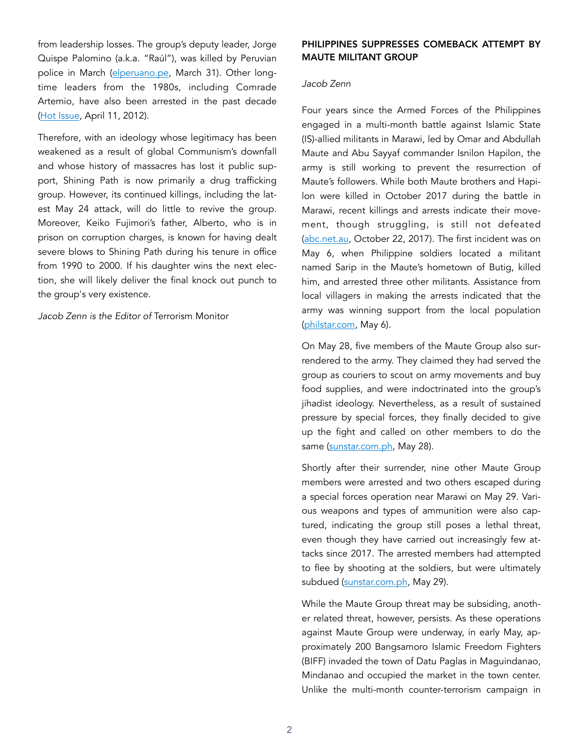from leadership losses. The group's deputy leader, Jorge Quispe Palomino (a.k.a. "Raúl"), was killed by Peruvian police in March ([elperuano.pe](https://elperuano.pe/noticia/117901-fuerzas-armadas-confirman-muerte-de-jorge-quispe-palomino-camarada-raul), March 31). Other longtime leaders from the 1980s, including Comrade Artemio, have also been arrested in the past decade ([Hot Issue](https://jamestown.org/program/hot-issue-on-the-rebound-shining-path-factions-vie-for-control-of-upper-huallaga-valley/), April 11, 2012).

Therefore, with an ideology whose legitimacy has been weakened as a result of global Communism's downfall and whose history of massacres has lost it public support, Shining Path is now primarily a drug trafficking group. However, its continued killings, including the latest May 24 attack, will do little to revive the group. Moreover, Keiko Fujimori's father, Alberto, who is in prison on corruption charges, is known for having dealt severe blows to Shining Path during his tenure in office from 1990 to 2000. If his daughter wins the next election, she will likely deliver the final knock out punch to the group's very existence.

*Jacob Zenn is the Editor of* Terrorism Monitor

## PHILIPPINES SUPPRESSES COMEBACK ATTEMPT BY MAUTE MILITANT GROUP

#### *Jacob Zenn*

Four years since the Armed Forces of the Philippines engaged in a multi-month battle against Islamic State (IS)-allied militants in Marawi, led by Omar and Abdullah Maute and Abu Sayyaf commander Isnilon Hapilon, the army is still working to prevent the resurrection of Maute's followers. While both Maute brothers and Hapilon were killed in October 2017 during the battle in Marawi, recent killings and arrests indicate their movement, though struggling, is still not defeated ([abc.net.au,](https://www.abc.net.au/news/2017-10-22/marawi-dna-test-top-filipino-terror-suspect-isnilon-hapilon-dead/9074460) October 22, 2017). The first incident was on May 6, when Philippine soldiers located a militant named Sarip in the Maute's hometown of Butig, killed him, and arrested three other militants. Assistance from local villagers in making the arrests indicated that the army was winning support from the local population ([philstar.com,](https://www.philstar.com/nation/2021/05/06/2096302/henchman-maute-terror-group-founders-killed) May 6).

On May 28, five members of the Maute Group also surrendered to the army. They claimed they had served the group as couriers to scout on army movements and buy food supplies, and were indoctrinated into the group's jihadist ideology. Nevertheless, as a result of sustained pressure by special forces, they finally decided to give up the fight and called on other members to do the same [\(sunstar.com.ph](https://www.sunstar.com.ph/article/1895997/Zamboanga/Local-News/5-Dawlah-Islamiya-supporters-yield-in-Lanao?ref=rss&format=simple&link=link), May 28).

Shortly after their surrender, nine other Maute Group members were arrested and two others escaped during a special forces operation near Marawi on May 29. Various weapons and types of ammunition were also captured, indicating the group still poses a lethal threat, even though they have carried out increasingly few attacks since 2017. The arrested members had attempted to flee by shooting at the soldiers, but were ultimately subdued ([sunstar.com.ph](https://www.sunstar.com.ph/article/1896119/Zamboanga/Local-News/9-Maute-group-members-nabbed?ref=rss&format=simple&link=link), May 29).

While the Maute Group threat may be subsiding, another related threat, however, persists. As these operations against Maute Group were underway, in early May, approximately 200 Bangsamoro Islamic Freedom Fighters (BIFF) invaded the town of Datu Paglas in Maguindanao, Mindanao and occupied the market in the town center. Unlike the multi-month counter-terrorism campaign in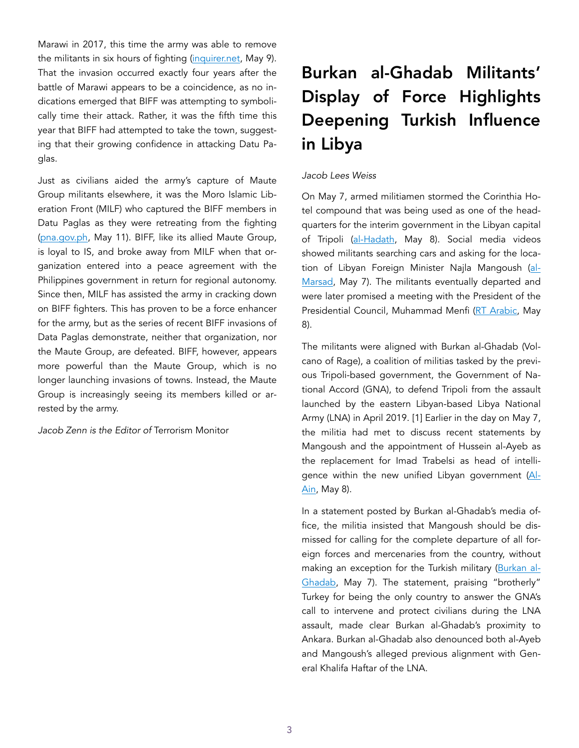Marawi in 2017, this time the army was able to remove the militants in six hours of fighting ([inquirer.net,](https://newsinfo.inquirer.net/1429158/army-retakes-maguindanao-town-after-6-hr-biff-occupation) May 9). That the invasion occurred exactly four years after the battle of Marawi appears to be a coincidence, as no indications emerged that BIFF was attempting to symbolically time their attack. Rather, it was the fifth time this year that BIFF had attempted to take the town, suggesting that their growing confidence in attacking Datu Paglas.

Just as civilians aided the army's capture of Maute Group militants elsewhere, it was the Moro Islamic Liberation Front (MILF) who captured the BIFF members in Datu Paglas as they were retreating from the fighting ([pna.gov.ph,](https://www.pna.gov.ph/articles/1139939) May 11). BIFF, like its allied Maute Group, is loyal to IS, and broke away from MILF when that organization entered into a peace agreement with the Philippines government in return for regional autonomy. Since then, MILF has assisted the army in cracking down on BIFF fighters. This has proven to be a force enhancer for the army, but as the series of recent BIFF invasions of Data Paglas demonstrate, neither that organization, nor the Maute Group, are defeated. BIFF, however, appears more powerful than the Maute Group, which is no longer launching invasions of towns. Instead, the Maute Group is increasingly seeing its members killed or arrested by the army.

*Jacob Zenn is the Editor of* Terrorism Monitor

# Burkan al-Ghadab Militants' Display of Force Highlights Deepening Turkish Influence in Libya

#### *Jacob Lees Weiss*

On May 7, armed militiamen stormed the Corinthia Hotel compound that was being used as one of the headquarters for the interim government in the Libyan capital of Tripoli ([al-Hadath](https://www.alhadath.net/maghreb/2021/05/08/%D9%85%D8%B3%D9%84%D8%AD%D9%88%D9%86-%D9%8A%D9%82%D8%AA%D8%AD%D9%85%D9%88%D9%86-%D9%85%D9%82%D8%B1-%D8%A7%D9%84%D9%85%D8%AC%D9%84%D8%B3-%D8%A7%D9%84%D8%B1%D8%A6%D8%A7%D8%B3%D9%8A-%D9%81%D9%8A-%D8%B7%D8%B1%D8%A7%D8%A8%D9%84%D8%B3-%D9%88%D8%B1%D8%A6%D9%8A%D8%B3%D9%87-%D9%8A%D9%81%D8%B1), May 8). Social media videos showed militants searching cars and asking for the loca-tion of Libyan Foreign Minister Najla Mangoush [\(al-](https://twitter.com/ObservatoryLY/status/1390802280287514625)[Marsad](https://twitter.com/ObservatoryLY/status/1390802280287514625), May 7). The militants eventually departed and were later promised a meeting with the President of the Presidential Council, Muhammad Menfi ([RT Arabic,](https://arabic.rt.com/middle_east/1229408-%D9%85%D8%AC%D9%84%D8%B3-%D8%A7%D9%84%D8%B1%D8%A6%D8%A7%D8%B3%D8%A9-%D8%A7%D9%84%D9%84%D9%8A%D8%A8%D9%8A-%D9%8A%D9%86%D9%81%D9%8A-%D9%85%D9%87%D8%A7%D8%AC%D9%85%D8%A9-%D8%AC%D9%85%D8%A7%D8%B9%D8%A7%D8%AA-%D9%85%D8%B3%D9%84%D8%AD%D8%A9-%D9%81%D9%86%D8%AF%D9%82%D8%A7-%D9%8A%D8%AC%D8%AA%D9%85%D8%B9-%D9%81%D9%8A%D9%87-%D8%A7%D9%84%D9%85%D8%AC%D9%84%D8%B3/) May 8).

The militants were aligned with Burkan al-Ghadab (Volcano of Rage), a coalition of militias tasked by the previous Tripoli-based government, the Government of National Accord (GNA), to defend Tripoli from the assault launched by the eastern Libyan-based Libya National Army (LNA) in April 2019. [1] Earlier in the day on May 7, the militia had met to discuss recent statements by Mangoush and the appointment of Hussein al-Ayeb as the replacement for Imad Trabelsi as head of intelligence within the new unified Libyan government [\(Al-](https://al-ain.com/article/tripoli-militia-libya-muhammad-al-manfi)[Ain](https://al-ain.com/article/tripoli-militia-libya-muhammad-al-manfi), May 8).

In a statement posted by Burkan al-Ghadab's media office, the militia insisted that Mangoush should be dismissed for calling for the complete departure of all foreign forces and mercenaries from the country, without making an exception for the Turkish military [\(Burkan al-](https://twitter.com/BurkanLy/status/1390653377755992070)[Ghadab](https://twitter.com/BurkanLy/status/1390653377755992070), May 7). The statement, praising "brotherly" Turkey for being the only country to answer the GNA's call to intervene and protect civilians during the LNA assault, made clear Burkan al-Ghadab's proximity to Ankara. Burkan al-Ghadab also denounced both al-Ayeb and Mangoush's alleged previous alignment with General Khalifa Haftar of the LNA.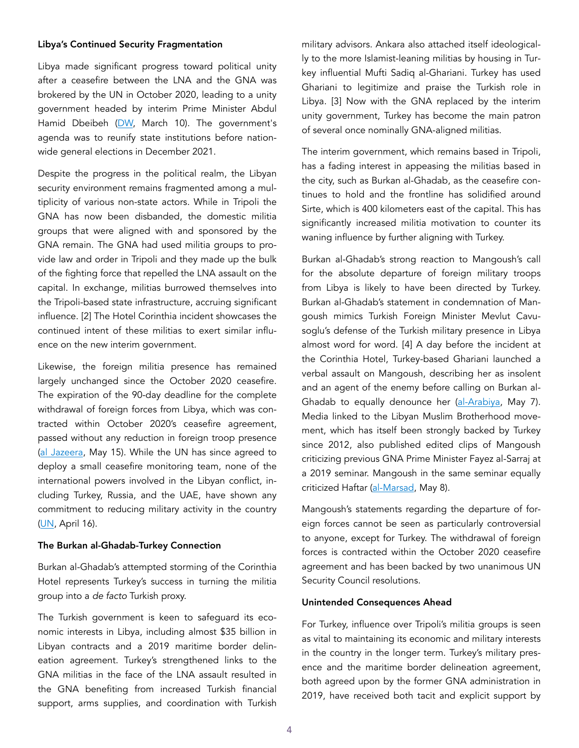#### Libya's Continued Security Fragmentation

Libya made significant progress toward political unity after a ceasefire between the LNA and the GNA was brokered by the UN in October 2020, leading to a unity government headed by interim Prime Minister Abdul Hamid Dbeibeh [\(DW,](https://www.dw.com/en/libyan-parliament-approves-unity-government/a-56826306) March 10). The government's agenda was to reunify state institutions before nationwide general elections in December 2021.

Despite the progress in the political realm, the Libyan security environment remains fragmented among a multiplicity of various non-state actors. While in Tripoli the GNA has now been disbanded, the domestic militia groups that were aligned with and sponsored by the GNA remain. The GNA had used militia groups to provide law and order in Tripoli and they made up the bulk of the fighting force that repelled the LNA assault on the capital. In exchange, militias burrowed themselves into the Tripoli-based state infrastructure, accruing significant influence. [2] The Hotel Corinthia incident showcases the continued intent of these militias to exert similar influence on the new interim government.

Likewise, the foreign militia presence has remained largely unchanged since the October 2020 ceasefire. The expiration of the 90-day deadline for the complete withdrawal of foreign forces from Libya, which was contracted within October 2020's ceasefire agreement, passed without any reduction in foreign troop presence ([al Jazeera,](https://www.aljazeera.com/news/2021/5/15/un-chief-foreign-fighters-in-libya-are-violating-ceasefire) May 15). While the UN has since agreed to deploy a small ceasefire monitoring team, none of the international powers involved in the Libyan conflict, including Turkey, Russia, and the UAE, have shown any commitment to reducing military activity in the country ([UN](https://news.un.org/en/story/2021/04/1089992), April 16).

#### The Burkan al-Ghadab-Turkey Connection

Burkan al-Ghadab's attempted storming of the Corinthia Hotel represents Turkey's success in turning the militia group into a *de facto* Turkish proxy.

The Turkish government is keen to safeguard its economic interests in Libya, including almost \$35 billion in Libyan contracts and a 2019 maritime border delineation agreement. Turkey's strengthened links to the GNA militias in the face of the LNA assault resulted in the GNA benefiting from increased Turkish financial support, arms supplies, and coordination with Turkish

military advisors. Ankara also attached itself ideologically to the more Islamist-leaning militias by housing in Turkey influential Mufti Sadiq al-Ghariani. Turkey has used Ghariani to legitimize and praise the Turkish role in Libya. [3] Now with the GNA replaced by the interim unity government, Turkey has become the main patron of several once nominally GNA-aligned militias.

The interim government, which remains based in Tripoli, has a fading interest in appeasing the militias based in the city, such as Burkan al-Ghadab, as the ceasefire continues to hold and the frontline has solidified around Sirte, which is 400 kilometers east of the capital. This has significantly increased militia motivation to counter its waning influence by further aligning with Turkey.

Burkan al-Ghadab's strong reaction to Mangoush's call for the absolute departure of foreign military troops from Libya is likely to have been directed by Turkey. Burkan al-Ghadab's statement in condemnation of Mangoush mimics Turkish Foreign Minister Mevlut Cavusoglu's defense of the Turkish military presence in Libya almost word for word. [4] A day before the incident at the Corinthia Hotel, Turkey-based Ghariani launched a verbal assault on Mangoush, describing her as insolent and an agent of the enemy before calling on Burkan al-Ghadab to equally denounce her [\(al-Arabiya,](https://www.alarabiya.net/north-africa/2021/05/07/-%D9%88%D9%82%D8%AD%D8%A9-%D8%AA%D8%AE%D8%AF%D9%85-%D9%85%D8%B4%D8%B1%D9%88%D8%B9-%D8%A7%D9%84%D8%B9%D8%AF%D9%88-%D9%85%D9%81%D8%AA%D9%8A-%D8%A7%D9%84%D8%A7%D8%B1%D9%87%D8%A7%D8%A8-%D9%8A%D9%87%D8%A7%D8%AC%D9%85-%D9%88%D8%B2%D9%8A%D8%B1%D8%A9-%D8%AE%D8%A7%D8%B1%D8%AC%D9%8A%D8%A9-%D9%84%D9%8A%D8%A8%D9%8A%D8%A7-) May 7). Media linked to the Libyan Muslim Brotherhood movement, which has itself been strongly backed by Turkey since 2012, also published edited clips of Mangoush criticizing previous GNA Prime Minister Fayez al-Sarraj at a 2019 seminar. Mangoush in the same seminar equally criticized Haftar [\(al-Marsad,](https://almarsad.co/en/2021/05/08/we-support-najla-al-mangoush-hashtag-trends-as-islamists-attack-libyas-foreign-minister/) May 8).

Mangoush's statements regarding the departure of foreign forces cannot be seen as particularly controversial to anyone, except for Turkey. The withdrawal of foreign forces is contracted within the October 2020 ceasefire agreement and has been backed by two unanimous UN Security Council resolutions.

#### Unintended Consequences Ahead

For Turkey, influence over Tripoli's militia groups is seen as vital to maintaining its economic and military interests in the country in the longer term. Turkey's military presence and the maritime border delineation agreement, both agreed upon by the former GNA administration in 2019, have received both tacit and explicit support by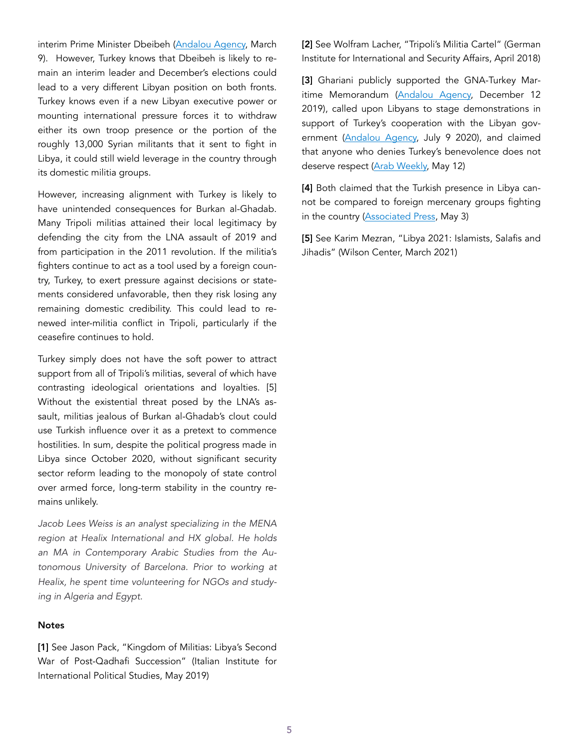interim Prime Minister Dbeibeh ([Andalou Agency,](https://www.aa.com.tr/en/middle-east/agreement-with-turkey-in-interest-of-libya-dbeibah/2170232) March 9). However, Turkey knows that Dbeibeh is likely to remain an interim leader and December's elections could lead to a very different Libyan position on both fronts. Turkey knows even if a new Libyan executive power or mounting international pressure forces it to withdraw either its own troop presence or the portion of the roughly 13,000 Syrian militants that it sent to fight in Libya, it could still wield leverage in the country through its domestic militia groups.

However, increasing alignment with Turkey is likely to have unintended consequences for Burkan al-Ghadab. Many Tripoli militias attained their local legitimacy by defending the city from the LNA assault of 2019 and from participation in the 2011 revolution. If the militia's fighters continue to act as a tool used by a foreign country, Turkey, to exert pressure against decisions or statements considered unfavorable, then they risk losing any remaining domestic credibility. This could lead to renewed inter-militia conflict in Tripoli, particularly if the ceasefire continues to hold.

Turkey simply does not have the soft power to attract support from all of Tripoli's militias, several of which have contrasting ideological orientations and loyalties. [5] Without the existential threat posed by the LNA's assault, militias jealous of Burkan al-Ghadab's clout could use Turkish influence over it as a pretext to commence hostilities. In sum, despite the political progress made in Libya since October 2020, without significant security sector reform leading to the monopoly of state control over armed force, long-term stability in the country remains unlikely.

*Jacob Lees Weiss is an analyst specializing in the MENA region at Healix International and HX global. He holds an MA in Contemporary Arabic Studies from the Autonomous University of Barcelona. Prior to working at Healix, he spent time volunteering for NGOs and studying in Algeria and Egypt.* 

#### **Notes**

[1] See Jason Pack, "Kingdom of Militias: Libya's Second War of Post-Qadhafi Succession" (Italian Institute for International Political Studies, May 2019)

[2] See Wolfram Lacher, "Tripoli's Militia Cartel" (German Institute for International and Security Affairs, April 2018)

[3] Ghariani publicly supported the GNA-Turkey Maritime Memorandum ([Andalou Agency,](https://www.aa.com.tr/en/africa/libya-s-grand-mufti-hails-turkey-libya-deal/1671443) December 12 2019), called upon Libyans to stage demonstrations in support of Turkey's cooperation with the Libyan government ([Andalou Agency,](https://www.aa.com.tr/en/middle-east/libyas-mufti-hails-cooperation-with-turkey/1905061) July 9 2020), and claimed that anyone who denies Turkey's benevolence does not deserve respect [\(Arab Weekly,](https://thearabweekly.com/cracks-emerging-libyas-veneer-national-unity) May 12)

[4] Both claimed that the Turkish presence in Libya cannot be compared to foreign mercenary groups fighting in the country ([Associated Press](https://apnews.com/article/united-nations-libya-africa-middle-east-europe-176cee919badac6b2841396b9cc57d3f), May 3)

[5] See Karim Mezran, "Libya 2021: Islamists, Salafis and Jihadis" (Wilson Center, March 2021)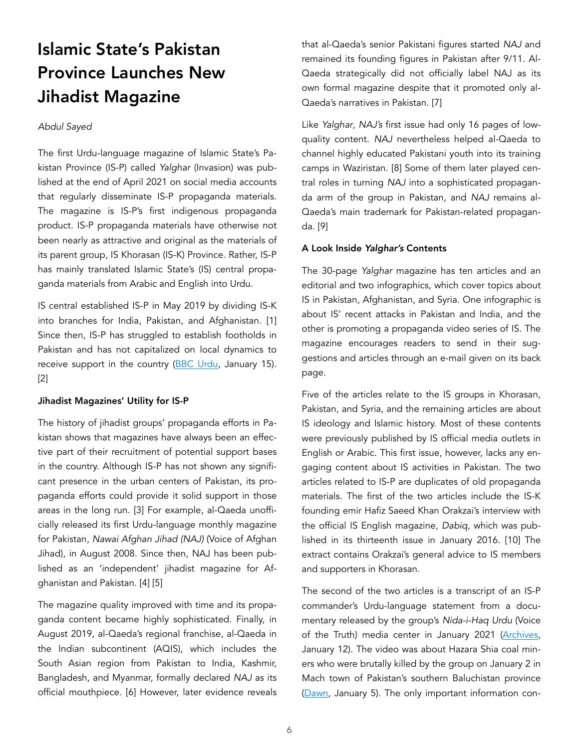# Islamic State's Pakistan Province Launches New Jihadist Magazine

#### *Abdul Sayed*

The first Urdu-language magazine of Islamic State's Pakistan Province (IS-P) called *Yalghar* (Invasion) was published at the end of April 2021 on social media accounts that regularly disseminate IS-P propaganda materials. The magazine is IS-P's first indigenous propaganda product. IS-P propaganda materials have otherwise not been nearly as attractive and original as the materials of its parent group, IS Khorasan (IS-K) Province. Rather, IS-P has mainly translated Islamic State's (IS) central propaganda materials from Arabic and English into Urdu.

IS central established IS-P in May 2019 by dividing IS-K into branches for India, Pakistan, and Afghanistan. [1] Since then, IS-P has struggled to establish footholds in Pakistan and has not capitalized on local dynamics to receive support in the country [\(BBC Urdu,](https://www.bbc.com/urdu/pakistan-55667403) January 15). [2]

#### Jihadist Magazines' Utility for IS-P

The history of jihadist groups' propaganda efforts in Pakistan shows that magazines have always been an effective part of their recruitment of potential support bases in the country. Although IS-P has not shown any significant presence in the urban centers of Pakistan, its propaganda efforts could provide it solid support in those areas in the long run. [3] For example, al-Qaeda unofficially released its first Urdu-language monthly magazine for Pakistan, *Nawai Afghan Jihad (NAJ)* (Voice of Afghan Jihad), in August 2008. Since then, NAJ has been published as an 'independent' jihadist magazine for Afghanistan and Pakistan. [4] [5]

The magazine quality improved with time and its propaganda content became highly sophisticated. Finally, in August 2019, al-Qaeda's regional franchise, al-Qaeda in the Indian subcontinent (AQIS), which includes the South Asian region from Pakistan to India, Kashmir, Bangladesh, and Myanmar, formally declared *NAJ* as its official mouthpiece. [6] However, later evidence reveals that al-Qaeda's senior Pakistani figures started *NAJ* and remained its founding figures in Pakistan after 9/11. Al-Qaeda strategically did not officially label NAJ as its own formal magazine despite that it promoted only al-Qaeda's narratives in Pakistan. [7]

Like *Yalghar*, *NAJ's* first issue had only 16 pages of lowquality content. *NAJ* nevertheless helped al-Qaeda to channel highly educated Pakistani youth into its training camps in Waziristan. [8] Some of them later played central roles in turning *NAJ* into a sophisticated propaganda arm of the group in Pakistan, and *NAJ* remains al-Qaeda's main trademark for Pakistan-related propaganda. [9]

#### A Look Inside *Yalghar's* Contents

The 30-page *Yalghar* magazine has ten articles and an editorial and two infographics, which cover topics about IS in Pakistan, Afghanistan, and Syria. One infographic is about IS' recent attacks in Pakistan and India, and the other is promoting a propaganda video series of IS. The magazine encourages readers to send in their suggestions and articles through an e-mail given on its back page.

Five of the articles relate to the IS groups in Khorasan, Pakistan, and Syria, and the remaining articles are about IS ideology and Islamic history. Most of these contents were previously published by IS official media outlets in English or Arabic. This first issue, however, lacks any engaging content about IS activities in Pakistan. The two articles related to IS-P are duplicates of old propaganda materials. The first of the two articles include the IS-K founding emir Hafiz Saeed Khan Orakzai's interview with the official IS English magazine, *Dabiq*, which was published in its thirteenth issue in January 2016. [10] The extract contains Orakzai's general advice to IS members and supporters in Khorasan.

The second of the two articles is a transcript of an IS-P commander's Urdu-language statement from a documentary released by the group's *Nida-i-Haq Urdu* (Voice of the Truth) media center in January 2021 ([Archives](https://archive.org/details/20210112_20210112_0801), January 12). The video was about Hazara Shia coal miners who were brutally killed by the group on January 2 in Mach town of Pakistan's southern Baluchistan province ([Dawn](https://www.dawn.com/news/1599805), January 5). The only important information con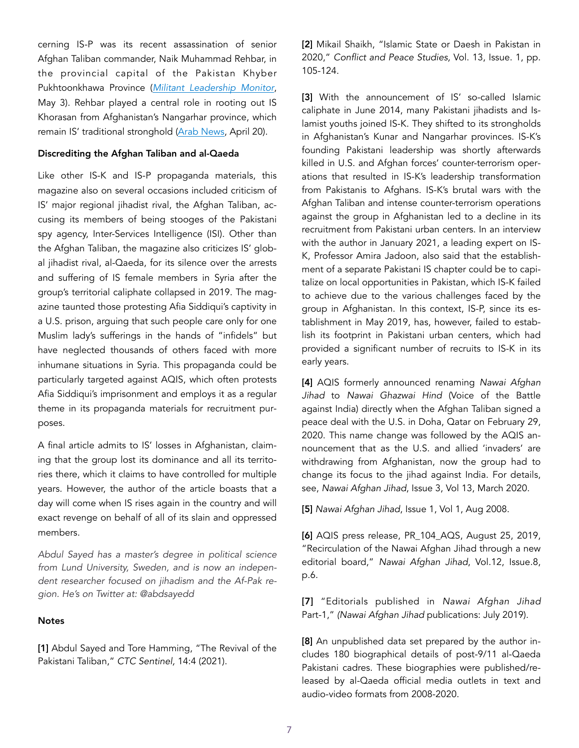cerning IS-P was its recent assassination of senior Afghan Taliban commander, Naik Muhammad Rehbar, in the provincial capital of the Pakistan Khyber Pukhtoonkhawa Province (*[Militant Leadership Monitor](https://jamestown.org/brief/islamic-state-claims-responsibility-for-assassination-of-taliban-shadow-governor-in-peshawar/)*, May 3). Rehbar played a central role in rooting out IS Khorasan from Afghanistan's Nangarhar province, which remain IS' traditional stronghold (Arab News, April 20).

#### Discrediting the Afghan Taliban and al-Qaeda

Like other IS-K and IS-P propaganda materials, this magazine also on several occasions included criticism of IS' major regional jihadist rival, the Afghan Taliban, accusing its members of being stooges of the Pakistani spy agency, Inter-Services Intelligence (ISI). Other than the Afghan Taliban, the magazine also criticizes IS' global jihadist rival, al-Qaeda, for its silence over the arrests and suffering of IS female members in Syria after the group's territorial caliphate collapsed in 2019. The magazine taunted those protesting Afia Siddiqui's captivity in a U.S. prison, arguing that such people care only for one Muslim lady's sufferings in the hands of "infidels" but have neglected thousands of others faced with more inhumane situations in Syria. This propaganda could be particularly targeted against AQIS, which often protests Afia Siddiqui's imprisonment and employs it as a regular theme in its propaganda materials for recruitment purposes.

A final article admits to IS' losses in Afghanistan, claiming that the group lost its dominance and all its territories there, which it claims to have controlled for multiple years. However, the author of the article boasts that a day will come when IS rises again in the country and will exact revenge on behalf of all of its slain and oppressed members.

*Abdul Sayed has a master's degree in political science from Lund University, Sweden, and is now an independent researcher focused on jihadism and the Af-Pak region. He's on Twitter at: @abdsayedd* 

#### Notes

[1] Abdul Sayed and Tore Hamming, "The Revival of the Pakistani Taliban," *CTC Sentinel,* 14:4 (2021).

[2] Mikail Shaikh, "Islamic State or Daesh in Pakistan in 2020," *Conflict and Peace Studies,* Vol. 13, Issue. 1, pp. 105-124.

[3] With the announcement of IS' so-called Islamic caliphate in June 2014, many Pakistani jihadists and Islamist youths joined IS-K. They shifted to its strongholds in Afghanistan's Kunar and Nangarhar provinces. IS-K's founding Pakistani leadership was shortly afterwards killed in U.S. and Afghan forces' counter-terrorism operations that resulted in IS-K's leadership transformation from Pakistanis to Afghans. IS-K's brutal wars with the Afghan Taliban and intense counter-terrorism operations against the group in Afghanistan led to a decline in its recruitment from Pakistani urban centers. In an interview with the author in January 2021, a leading expert on IS-K, Professor Amira Jadoon, also said that the establishment of a separate Pakistani IS chapter could be to capitalize on local opportunities in Pakistan, which IS-K failed to achieve due to the various challenges faced by the group in Afghanistan. In this context, IS-P, since its establishment in May 2019, has, however, failed to establish its footprint in Pakistani urban centers, which had provided a significant number of recruits to IS-K in its early years.

[4] AQIS formerly announced renaming *Nawai Afghan Jihad* to *Nawai Ghazwai Hind* (Voice of the Battle against India) directly when the Afghan Taliban signed a peace deal with the U.S. in Doha, Qatar on February 29, 2020. This name change was followed by the AQIS announcement that as the U.S. and allied 'invaders' are withdrawing from Afghanistan, now the group had to change its focus to the jihad against India. For details, see, *Nawai Afghan Jihad*, Issue 3, Vol 13, March 2020.

[5] *Nawai Afghan Jihad*, Issue 1, Vol 1, Aug 2008.

[6] AQIS press release, PR\_104\_AQS, August 25, 2019, "Recirculation of the Nawai Afghan Jihad through a new editorial board," *Nawai Afghan Jihad*, Vol.12, Issue.8, p.6.

[7] "Editorials published in *Nawai Afghan Jihad* Part-1," *(Nawai Afghan Jihad* publications: July 2019).

[8] An unpublished data set prepared by the author includes 180 biographical details of post-9/11 al-Qaeda Pakistani cadres. These biographies were published/released by al-Qaeda official media outlets in text and audio-video formats from 2008-2020.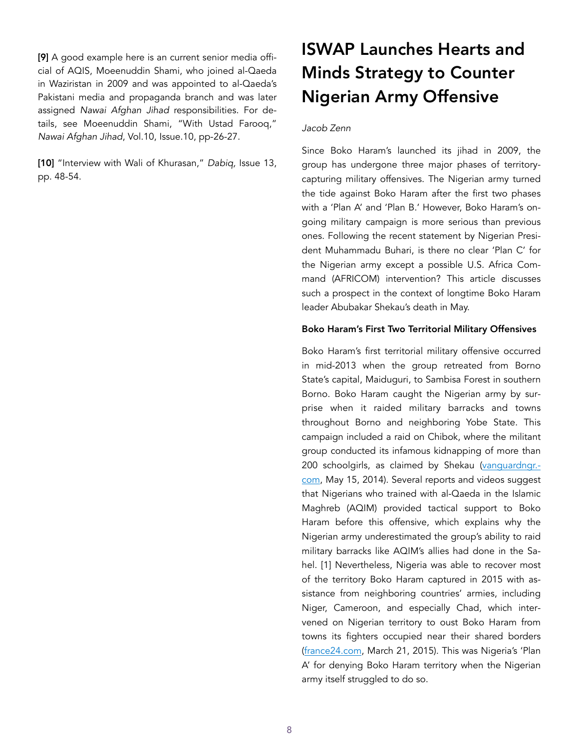[9] A good example here is an current senior media official of AQIS, Moeenuddin Shami, who joined al-Qaeda in Waziristan in 2009 and was appointed to al-Qaeda's Pakistani media and propaganda branch and was later assigned *Nawai Afghan Jihad* responsibilities. For details, see Moeenuddin Shami, "With Ustad Farooq," *Nawai Afghan Jihad*, Vol.10, Issue.10, pp-26-27.

[10] "Interview with Wali of Khurasan," *Dabiq,* Issue 13, pp. 48-54.

# ISWAP Launches Hearts and Minds Strategy to Counter Nigerian Army Offensive

#### *Jacob Zenn*

Since Boko Haram's launched its jihad in 2009, the group has undergone three major phases of territorycapturing military offensives. The Nigerian army turned the tide against Boko Haram after the first two phases with a 'Plan A' and 'Plan B.' However, Boko Haram's ongoing military campaign is more serious than previous ones. Following the recent statement by Nigerian President Muhammadu Buhari, is there no clear 'Plan C' for the Nigerian army except a possible U.S. Africa Command (AFRICOM) intervention? This article discusses such a prospect in the context of longtime Boko Haram leader Abubakar Shekau's death in May.

### Boko Haram's First Two Territorial Military Offensives

Boko Haram's first territorial military offensive occurred in mid-2013 when the group retreated from Borno State's capital, Maiduguri, to Sambisa Forest in southern Borno. Boko Haram caught the Nigerian army by surprise when it raided military barracks and towns throughout Borno and neighboring Yobe State. This campaign included a raid on Chibok, where the militant group conducted its infamous kidnapping of more than 200 schoolgirls, as claimed by Shekau [\(vanguardngr.](https://www.vanguardngr.com/2014/05/president-goodluck-jonathans-fallouts-chibok/) [com,](https://www.vanguardngr.com/2014/05/president-goodluck-jonathans-fallouts-chibok/) May 15, 2014). Several reports and videos suggest that Nigerians who trained with al-Qaeda in the Islamic Maghreb (AQIM) provided tactical support to Boko Haram before this offensive, which explains why the Nigerian army underestimated the group's ability to raid military barracks like AQIM's allies had done in the Sahel. [1] Nevertheless, Nigeria was able to recover most of the territory Boko Haram captured in 2015 with assistance from neighboring countries' armies, including Niger, Cameroon, and especially Chad, which intervened on Nigerian territory to oust Boko Haram from towns its fighters occupied near their shared borders ([france24.com](https://www.france24.com/en/20150321-nigeria-boko-haram-damasak-mass-grave), March 21, 2015). This was Nigeria's 'Plan A' for denying Boko Haram territory when the Nigerian army itself struggled to do so.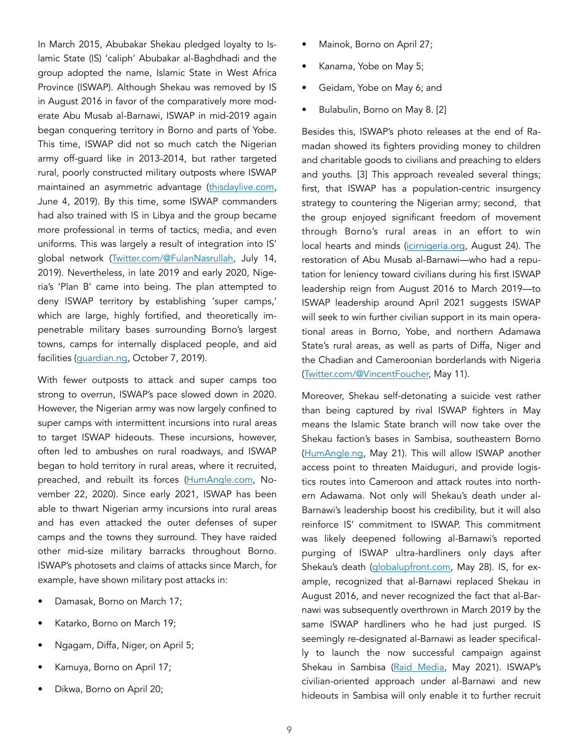In March 2015, Abubakar Shekau pledged loyalty to Islamic State (IS) 'caliph' Abubakar al-Baghdhadi and the group adopted the name, Islamic State in West Africa Province (ISWAP). Although Shekau was removed by IS in August 2016 in favor of the comparatively more moderate Abu Musab al-Barnawi, ISWAP in mid-2019 again began conquering territory in Borno and parts of Yobe. This time, ISWAP did not so much catch the Nigerian army off-guard like in 2013-2014, but rather targeted rural, poorly constructed military outposts where ISWAP maintained an asymmetric advantage [\(thisdaylive.com,](https://www.thisdaylive.com/index.php/2019/06/04/boko-haram-captures-borno-lg/) June 4, 2019). By this time, some ISWAP commanders had also trained with IS in Libya and the group became more professional in terms of tactics, media, and even uniforms. This was largely a result of integration into IS' global network [\(Twitter.com/@FulanNasrullah,](https://twitter.com/FulanNasrullah/status/1150417870725296130) July 14, 2019). Nevertheless, in late 2019 and early 2020, Nigeria's 'Plan B' came into being. The plan attempted to deny ISWAP territory by establishing 'super camps,' which are large, highly fortified, and theoretically impenetrable military bases surrounding Borno's largest towns, camps for internally displaced people, and aid facilities (quardian.ng, October 7, 2019).

With fewer outposts to attack and super camps too strong to overrun, ISWAP's pace slowed down in 2020. However, the Nigerian army was now largely confined to super camps with intermittent incursions into rural areas to target ISWAP hideouts. These incursions, however, often led to ambushes on rural roadways, and ISWAP began to hold territory in rural areas, where it recruited, preached, and rebuilt its forces [\(HumAngle.com](https://humangle.ng/soldiers-killed-in-iswap-ambush-in-borno/), November 22, 2020). Since early 2021, ISWAP has been able to thwart Nigerian army incursions into rural areas and has even attacked the outer defenses of super camps and the towns they surround. They have raided other mid-size military barracks throughout Borno. ISWAP's photosets and claims of attacks since March, for example, have shown military post attacks in:

- Damasak, Borno on March 17;
- Katarko, Borno on March 19;
- Ngagam, Diffa, Niger, on April 5;
- Kamuya, Borno on April 17;
- Dikwa, Borno on April 20;
- Mainok, Borno on April 27;
- Kanama, Yobe on May 5;
- Geidam, Yobe on May 6; and
- Bulabulin, Borno on May 8. [2]

Besides this, ISWAP's photo releases at the end of Ramadan showed its fighters providing money to children and charitable goods to civilians and preaching to elders and youths. [3] This approach revealed several things; first, that ISWAP has a population-centric insurgency strategy to countering the Nigerian army; second, that the group enjoyed significant freedom of movement through Borno's rural areas in an effort to win local hearts and minds [\(icirnigeria.org,](https://www.icirnigeria.org/iswap-attacks-geidam-distributes-pamphlets-to-residents/) August 24). The restoration of Abu Musab al-Barnawi—who had a reputation for leniency toward civilians during his first ISWAP leadership reign from August 2016 to March 2019—to ISWAP leadership around April 2021 suggests ISWAP will seek to win further civilian support in its main operational areas in Borno, Yobe, and northern Adamawa State's rural areas, as well as parts of Diffa, Niger and the Chadian and Cameroonian borderlands with Nigeria ([Twitter.com/@VincentFoucher,](https://twitter.com/vincentfoucher/status/1392036614835146756) May 11).

Moreover, Shekau self-detonating a suicide vest rather than being captured by rival ISWAP fighters in May means the Islamic State branch will now take over the Shekau faction's bases in Sambisa, southeastern Borno ([HumAngle.ng](https://humangle.ng/boko-haram-strongman-shekau-dead-as-iswap-fighters-capture-sambisa-forest/), May 21). This will allow ISWAP another access point to threaten Maiduguri, and provide logistics routes into Cameroon and attack routes into northern Adawama. Not only will Shekau's death under al-Barnawi's leadership boost his credibility, but it will also reinforce IS' commitment to ISWAP. This commitment was likely deepened following al-Barnawi's reported purging of ISWAP ultra-hardliners only days after Shekau's death ([globalupfront.com,](https://globalupfront.com/2021/05/28/confusion-in-iswap-camp-as-leader-al-barnawi-kills-senior-commanders-as-he-consolidates-power/) May 28). IS, for example, recognized that al-Barnawi replaced Shekau in August 2016, and never recognized the fact that al-Barnawi was subsequently overthrown in March 2019 by the same ISWAP hardliners who he had just purged. IS seemingly re-designated al-Barnawi as leader specifically to launch the now successful campaign against Shekau in Sambisa [\(Raid Media,](https://unmaskingbokoharam.com/2021/05/18/iswap-abu-musab-al-barnawi-leadership-reinstatement-audio-may-2021/) May 2021). ISWAP's civilian-oriented approach under al-Barnawi and new hideouts in Sambisa will only enable it to further recruit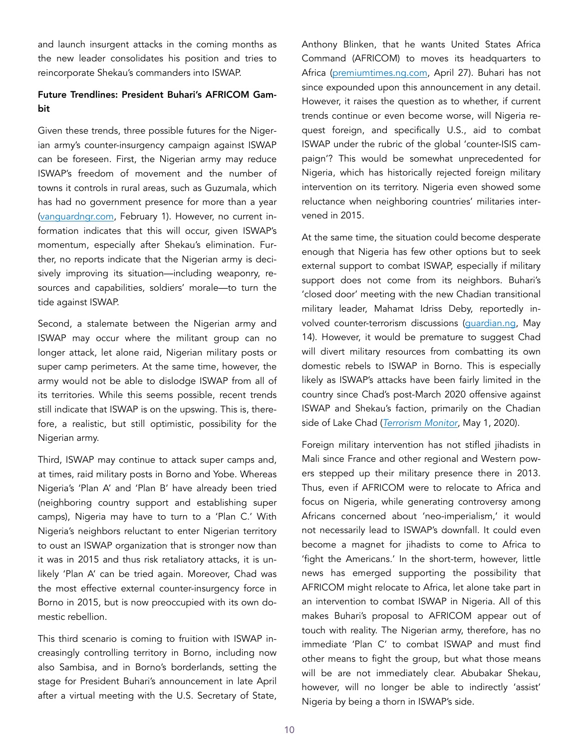and launch insurgent attacks in the coming months as the new leader consolidates his position and tries to reincorporate Shekau's commanders into ISWAP.

## Future Trendlines: President Buhari's AFRICOM Gambit

Given these trends, three possible futures for the Nigerian army's counter-insurgency campaign against ISWAP can be foreseen. First, the Nigerian army may reduce ISWAP's freedom of movement and the number of towns it controls in rural areas, such as Guzumala, which has had no government presence for more than a year ([vanguardngr.com](https://www.vanguardngr.com/2021/02/borno-speaker-faults-lai-mohammed-olanisakin-says-guzamala-lga-under-full-control-of-boko-haram/), February 1). However, no current information indicates that this will occur, given ISWAP's momentum, especially after Shekau's elimination. Further, no reports indicate that the Nigerian army is decisively improving its situation—including weaponry, resources and capabilities, soldiers' morale—to turn the tide against ISWAP.

Second, a stalemate between the Nigerian army and ISWAP may occur where the militant group can no longer attack, let alone raid, Nigerian military posts or super camp perimeters. At the same time, however, the army would not be able to dislodge ISWAP from all of its territories. While this seems possible, recent trends still indicate that ISWAP is on the upswing. This is, therefore, a realistic, but still optimistic, possibility for the Nigerian army.

Third, ISWAP may continue to attack super camps and, at times, raid military posts in Borno and Yobe. Whereas Nigeria's 'Plan A' and 'Plan B' have already been tried (neighboring country support and establishing super camps), Nigeria may have to turn to a 'Plan C.' With Nigeria's neighbors reluctant to enter Nigerian territory to oust an ISWAP organization that is stronger now than it was in 2015 and thus risk retaliatory attacks, it is unlikely 'Plan A' can be tried again. Moreover, Chad was the most effective external counter-insurgency force in Borno in 2015, but is now preoccupied with its own domestic rebellion.

This third scenario is coming to fruition with ISWAP increasingly controlling territory in Borno, including now also Sambisa, and in Borno's borderlands, setting the stage for President Buhari's announcement in late April after a virtual meeting with the U.S. Secretary of State,

Anthony Blinken, that he wants United States Africa Command (AFRICOM) to moves its headquarters to Africa ([premiumtimes.ng.com](https://www.premiumtimesng.com/news/top-news/457943-insecurity-buhari-urges-u-s-to-move-africom-to-africa.html), April 27). Buhari has not since expounded upon this announcement in any detail. However, it raises the question as to whether, if current trends continue or even become worse, will Nigeria request foreign, and specifically U.S., aid to combat ISWAP under the rubric of the global 'counter-ISIS campaign'? This would be somewhat unprecedented for Nigeria, which has historically rejected foreign military intervention on its territory. Nigeria even showed some reluctance when neighboring countries' militaries intervened in 2015.

At the same time, the situation could become desperate enough that Nigeria has few other options but to seek external support to combat ISWAP, especially if military support does not come from its neighbors. Buhari's 'closed door' meeting with the new Chadian transitional military leader, Mahamat Idriss Deby, reportedly involved counter-terrorism discussions ([guardian.ng,](https://guardian.ng/news/buhari-in-closed-door-meeting-with-chads-interim-leader/) May 14). However, it would be premature to suggest Chad will divert military resources from combatting its own domestic rebels to ISWAP in Borno. This is especially likely as ISWAP's attacks have been fairly limited in the country since Chad's post-March 2020 offensive against ISWAP and Shekau's faction, primarily on the Chadian side of Lake Chad (*[Terrorism Monitor](https://jamestown.org/program/counter-boko-haram-offensives-in-chad-niger-and-nigeria-under-the-specter-of-coronavirus-public-relations-or-permanent-destruction/)*, May 1, 2020).

Foreign military intervention has not stifled jihadists in Mali since France and other regional and Western powers stepped up their military presence there in 2013. Thus, even if AFRICOM were to relocate to Africa and focus on Nigeria, while generating controversy among Africans concerned about 'neo-imperialism,' it would not necessarily lead to ISWAP's downfall. It could even become a magnet for jihadists to come to Africa to 'fight the Americans.' In the short-term, however, little news has emerged supporting the possibility that AFRICOM might relocate to Africa, let alone take part in an intervention to combat ISWAP in Nigeria. All of this makes Buhari's proposal to AFRICOM appear out of touch with reality. The Nigerian army, therefore, has no immediate 'Plan C' to combat ISWAP and must find other means to fight the group, but what those means will be are not immediately clear. Abubakar Shekau, however, will no longer be able to indirectly 'assist' Nigeria by being a thorn in ISWAP's side.